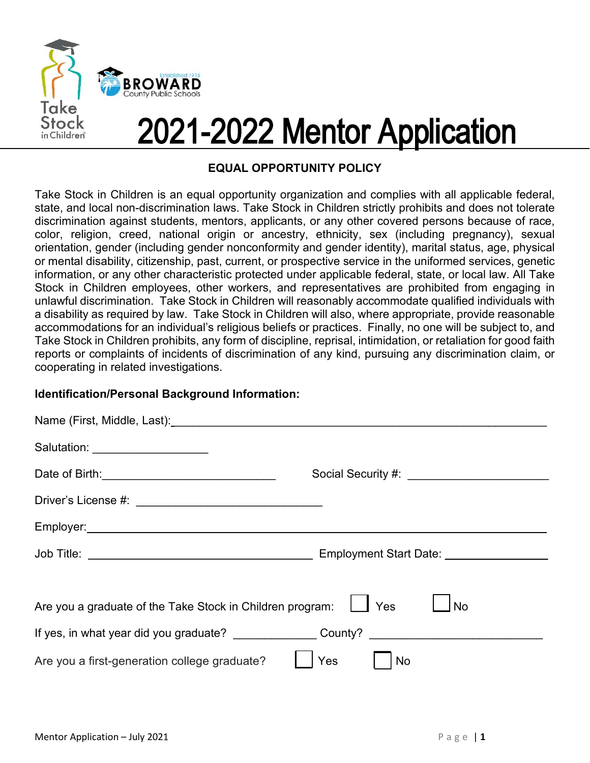

# 2021-2022 Mentor Application

### EQUAL OPPORTUNITY POLICY

Take Stock in Children is an equal opportunity organization and complies with all applicable federal, state, and local non-discrimination laws. Take Stock in Children strictly prohibits and does not tolerate discrimination against students, mentors, applicants, or any other covered persons because of race, color, religion, creed, national origin or ancestry, ethnicity, sex (including pregnancy), sexual orientation, gender (including gender nonconformity and gender identity), marital status, age, physical or mental disability, citizenship, past, current, or prospective service in the uniformed services, genetic information, or any other characteristic protected under applicable federal, state, or local law. All Take Stock in Children employees, other workers, and representatives are prohibited from engaging in unlawful discrimination. Take Stock in Children will reasonably accommodate qualified individuals with a disability as required by law. Take Stock in Children will also, where appropriate, provide reasonable accommodations for an individual's religious beliefs or practices. Finally, no one will be subject to, and Take Stock in Children prohibits, any form of discipline, reprisal, intimidation, or retaliation for good faith reports or complaints of incidents of discrimination of any kind, pursuing any discrimination claim, or cooperating in related investigations.

### Identification/Personal Background Information:

| cooperating in related investigations.                                                                    | uniawiui uisunninauvii. Täkö Olvuk in Uniilui on wiin loasunaviy auunninuuallo ylännöy murviuuals wilin<br>a disability as required by law. Take Stock in Children will also, where appropriate, provide reasonable<br>accommodations for an individual's religious beliefs or practices. Finally, no one will be subject to, and<br>Take Stock in Children prohibits, any form of discipline, reprisal, intimidation, or retaliation for good faith<br>reports or complaints of incidents of discrimination of any kind, pursuing any discrimination claim, or |
|-----------------------------------------------------------------------------------------------------------|-----------------------------------------------------------------------------------------------------------------------------------------------------------------------------------------------------------------------------------------------------------------------------------------------------------------------------------------------------------------------------------------------------------------------------------------------------------------------------------------------------------------------------------------------------------------|
| Identification/Personal Background Information:                                                           |                                                                                                                                                                                                                                                                                                                                                                                                                                                                                                                                                                 |
|                                                                                                           |                                                                                                                                                                                                                                                                                                                                                                                                                                                                                                                                                                 |
| Salutation: _____________________                                                                         |                                                                                                                                                                                                                                                                                                                                                                                                                                                                                                                                                                 |
|                                                                                                           | Social Security #: __________________________                                                                                                                                                                                                                                                                                                                                                                                                                                                                                                                   |
|                                                                                                           |                                                                                                                                                                                                                                                                                                                                                                                                                                                                                                                                                                 |
|                                                                                                           |                                                                                                                                                                                                                                                                                                                                                                                                                                                                                                                                                                 |
|                                                                                                           |                                                                                                                                                                                                                                                                                                                                                                                                                                                                                                                                                                 |
| Are you a graduate of the Take Stock in Children program:<br>Are you a first-generation college graduate? | $\Box$ No<br>Yes<br>Yes<br>No                                                                                                                                                                                                                                                                                                                                                                                                                                                                                                                                   |
| Mentor Application - July 2021                                                                            | Page $ 1$                                                                                                                                                                                                                                                                                                                                                                                                                                                                                                                                                       |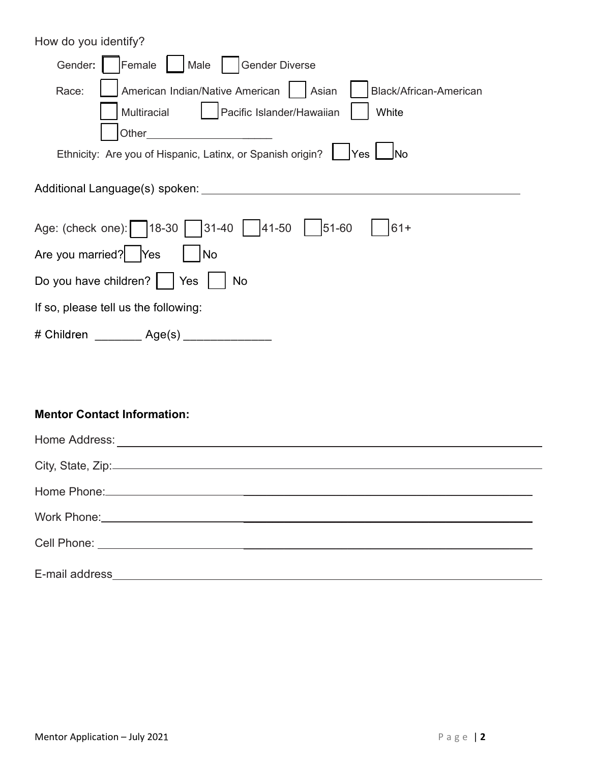| How do you identify?                                                               |
|------------------------------------------------------------------------------------|
| <b>Gender Diverse</b><br>Gender:<br>Female<br>Male                                 |
| American Indian/Native American<br>Black/African-American<br>Race:<br>Asian        |
| Pacific Islander/Hawaiian<br>Multiracial<br>White                                  |
| Other_<br>Ethnicity: Are you of Hispanic, Latinx, or Spanish origin?<br> No<br>Yes |
| Additional Language(s) spoken:                                                     |
| $ 41-50 $<br>Age: (check one):     18-30  <br>31-40<br>51-60<br>$61+$              |
| Are you married?<br>No<br>Yes                                                      |
| Do you have children?<br>No<br>Yes                                                 |
| If so, please tell us the following:                                               |
| # Children ________ Age(s) ______________                                          |
|                                                                                    |
|                                                                                    |

| <b>Mentor Contact Information:</b>       |            |
|------------------------------------------|------------|
|                                          |            |
| City, State, Zip: 2000 City, State, Zip: |            |
|                                          |            |
|                                          |            |
|                                          |            |
|                                          |            |
|                                          |            |
|                                          |            |
|                                          |            |
|                                          |            |
|                                          |            |
| Mentor Application - July 2021           | Page   $2$ |
|                                          |            |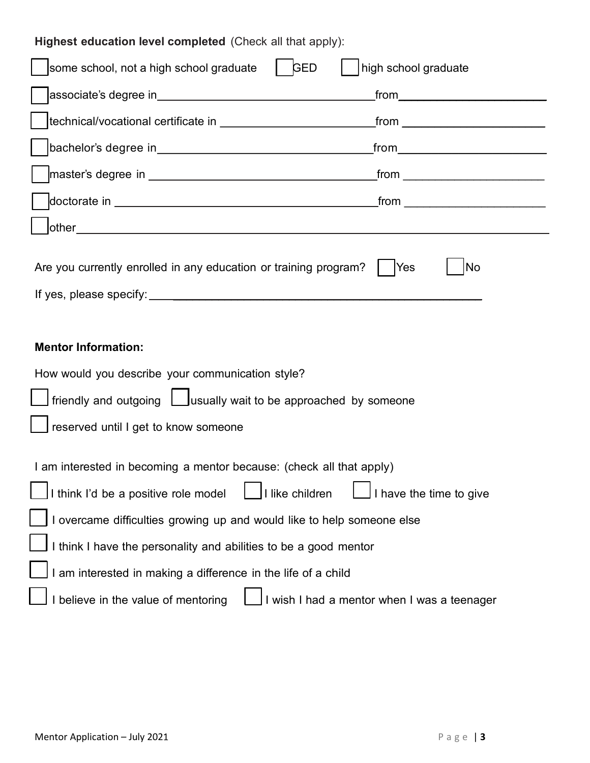| Highest education level completed (Check all that apply):                                                                                                                          |                                           |
|------------------------------------------------------------------------------------------------------------------------------------------------------------------------------------|-------------------------------------------|
| some school, not a high school graduate<br>  GED                                                                                                                                   | high school graduate                      |
|                                                                                                                                                                                    | _from_______________________________      |
|                                                                                                                                                                                    | _from ___________________________         |
|                                                                                                                                                                                    |                                           |
|                                                                                                                                                                                    | _from ___________________________________ |
|                                                                                                                                                                                    | from $\qquad \qquad$                      |
| other_                                                                                                                                                                             |                                           |
| Are you currently enrolled in any education or training program?<br>If yes, please specify:                                                                                        | <b>No</b><br> Yes                         |
| <b>Mentor Information:</b>                                                                                                                                                         |                                           |
| How would you describe your communication style?                                                                                                                                   |                                           |
| $\rfloor$ friendly and outgoing $\lfloor$ usually wait to be approached by someone<br>reserved until I get to know someone                                                         |                                           |
| I am interested in becoming a mentor because: (check all that apply)                                                                                                               |                                           |
|                                                                                                                                                                                    |                                           |
|                                                                                                                                                                                    |                                           |
| $\boxed{\phantom{a}}$ I like children                                                                                                                                              | I have the time to give                   |
|                                                                                                                                                                                    |                                           |
| I think I'd be a positive role model<br>I overcame difficulties growing up and would like to help someone else<br>I think I have the personality and abilities to be a good mentor |                                           |
| am interested in making a difference in the life of a child                                                                                                                        |                                           |
|                                                                                                                                                                                    |                                           |
|                                                                                                                                                                                    |                                           |
| $\bigsqcup$ I believe in the value of mentoring $\bigsqcup$ I wish I had a mentor when I was a teenager                                                                            |                                           |
|                                                                                                                                                                                    |                                           |
| Mentor Application - July 2021                                                                                                                                                     | Page $ 3$                                 |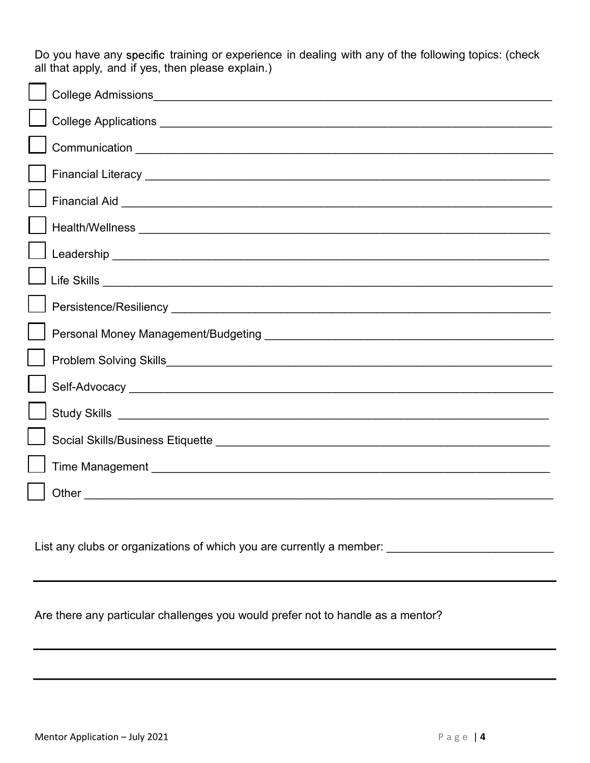| Do you have any specific training or experience in dealing with any of the following topics: (check<br>all that apply, and if yes, then please explain.) |
|----------------------------------------------------------------------------------------------------------------------------------------------------------|
|                                                                                                                                                          |
|                                                                                                                                                          |
|                                                                                                                                                          |
|                                                                                                                                                          |
|                                                                                                                                                          |
|                                                                                                                                                          |
|                                                                                                                                                          |
|                                                                                                                                                          |
|                                                                                                                                                          |
|                                                                                                                                                          |
|                                                                                                                                                          |
| Self-Advocacy entertainment of the contract of the contract of the contract of the contract of the contract of                                           |
|                                                                                                                                                          |
|                                                                                                                                                          |
|                                                                                                                                                          |
|                                                                                                                                                          |
|                                                                                                                                                          |
| List any clubs or organizations of which you are currently a member: ______________________________                                                      |
|                                                                                                                                                          |
| Are there any particular challenges you would prefer not to handle as a mentor?                                                                          |
|                                                                                                                                                          |
|                                                                                                                                                          |
|                                                                                                                                                          |
|                                                                                                                                                          |
| Mentor Application - July 2021<br>Page $ 4$                                                                                                              |
|                                                                                                                                                          |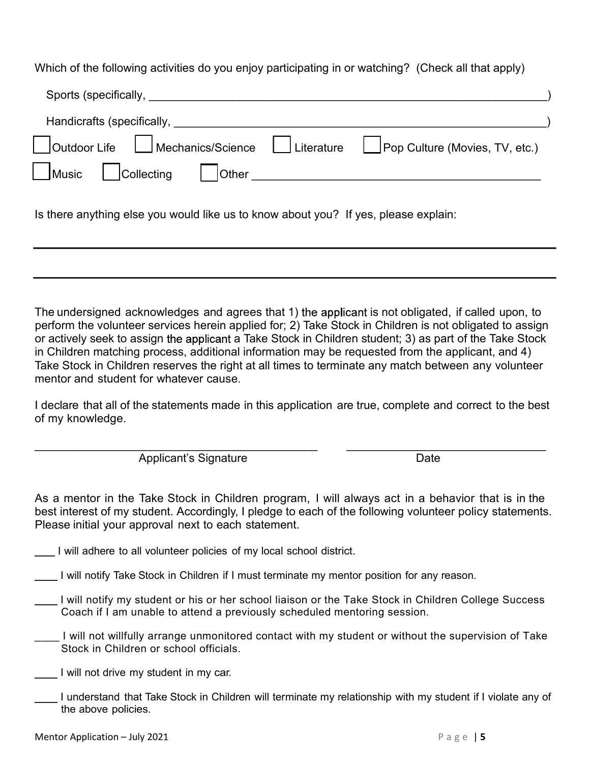| Which of the following activities do you enjoy participating in or watching? (Check all that apply)                                                                        |
|----------------------------------------------------------------------------------------------------------------------------------------------------------------------------|
|                                                                                                                                                                            |
|                                                                                                                                                                            |
|                                                                                                                                                                            |
| Mechanics/Science   Literature<br>Outdoor Life<br>Pop Culture (Movies, TV, etc.)                                                                                           |
| $\blacksquare$ Music<br><b>Other</b><br>Collecting<br><u> 1980 - Jan Barat, martin amerikan basal dan berasal dari berasal dalam basal dalam basal dan berasal dalam b</u> |

The undersigned acknowledges and agrees that 1) the applicant is not obligated, if called upon, to perform the volunteer services herein applied for; 2) Take Stock in Children is not obligated to assign or actively seek to assign the applicant a Take Stock in Children student; 3) as part of the Take Stock in Children matching process, additional information may be requested from the applicant, and 4) Take Stock in Children reserves the right at all times to terminate any match between any volunteer mentor and student for whatever cause. Is there anything else you would like us to know about you? If yes, please explain:<br>
The undersigned acknowledges and agrees that 1) the applicant is not obligated, if called upon, to<br>
perform the volunteer services herein The undersigned acknowledges and agrees that 1) the applicant is not obligated, if called upon, to<br>perform the volunteer services herein applied for; 2) Take Stock in Children is not obligated to assign<br>or activity seek to

I declare that all of the statements made in this application are true, complete and correct to the best

As a mentor in the Take Stock in Children program, I will always act in a behavior that is in the best interest of my student. Accordingly, I pledge to each of the following volunteer policy statements.<br>
Please initial yo As a mentor in the Take Stock in Children program, I will always act in a behavior that is in the best interest of my student. Accordingly, I pledge to each of the following volunteer policy statements.

- I will adhere to all volunteer policies of my local school district.
- I will notify Take Stock in Children if I must terminate my mentor position for any reason.
- I will notify my student or his or her school liaison or the Take Stock in Children College Success Coach if I am unable to attend a previously scheduled mentoring session.
- \_\_\_\_ I will not willfully arrange unmonitored contact with my student or without the supervision of Take Stock in Children or school officials.
- I will not drive my student in my car.
- I understand that Take Stock in Children will terminate my relationship with my student if I violate any of the above policies.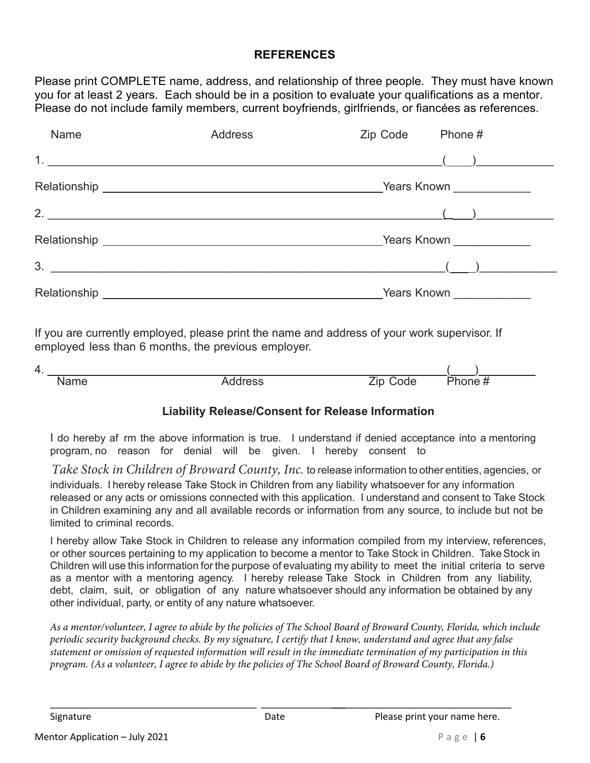### **REFERENCES**

|             | <b>REFERENCES</b>                                                                                                                                                                                                                                                                                       |          |                          |
|-------------|---------------------------------------------------------------------------------------------------------------------------------------------------------------------------------------------------------------------------------------------------------------------------------------------------------|----------|--------------------------|
|             | Please print COMPLETE name, address, and relationship of three people. They must have known<br>you for at least 2 years. Each should be in a position to evaluate your qualifications as a mentor.<br>Please do not include family members, current boyfriends, girlfriends, or fiancées as references. |          |                          |
| Name        | <b>Address</b>                                                                                                                                                                                                                                                                                          | Zip Code | Phone #                  |
|             |                                                                                                                                                                                                                                                                                                         |          |                          |
|             |                                                                                                                                                                                                                                                                                                         |          |                          |
| 2.          |                                                                                                                                                                                                                                                                                                         |          |                          |
|             |                                                                                                                                                                                                                                                                                                         |          | Years Known ____________ |
| 3.          |                                                                                                                                                                                                                                                                                                         |          |                          |
|             | Relationship <b>Relationship Relationship Relationship Relationship Relationship</b>                                                                                                                                                                                                                    |          |                          |
|             | If you are currently employed, please print the name and address of your work supervisor. If<br>employed less than 6 months, the previous employer.                                                                                                                                                     |          |                          |
| 4.          |                                                                                                                                                                                                                                                                                                         |          |                          |
| <b>Name</b> | <b>Address</b>                                                                                                                                                                                                                                                                                          | Zip Code | Phone $#$                |
|             | <b>Liability Release/Consent for Release Information</b>                                                                                                                                                                                                                                                |          |                          |
|             |                                                                                                                                                                                                                                                                                                         |          |                          |

| 4<br>. . |  |  |
|----------|--|--|
|          |  |  |

### Liability Release/Consent for Release Information

I do hereby af rm the above information is true. I understand if denied acceptance into a mentoring program, no reason for denial will be given. I hereby consent to

*Take Stock in Children of Broward County, Inc.* to release information to other entities, agencies, or individuals. I hereby release Take Stock in Children from any liability whatsoever for any information released or any acts or omissions connected with this application. I understand and consent to Take Stock in Children examining any and all available records or information from any source, to include but not be limited to criminal records.

released or any acts or omissions connected with this application. I understand and consent to Take Stock<br>in Children examining any and all available records or information from any source, to include but not be<br>inited to I hereby allow Take Stock in Children to release any information compiled from my interview, references, or other sources pertaining to my application to become a mentor to Take Stock in Children. Take Stock in Children will use this information for the purpose of evaluating my ability to meet the initial criteria to serve as a mentor with a mentoring agency. I hereby release Take Stock in Children from any liability, debt, claim, suit, or obligation of any nature whatsoever should any information be obtained by any other individual, party, or entity of any nature whatsoever.

*As a mentor/volunteer, I agree to abide by the policies of The School Board of Broward County, Florida, which include periodic security background checks. By my signature, I certify that I know, understand and agree that any false statement or omission of requested information will result in the immediate termination of my participation in this program. (As a volunteer, I agree to abide by the policies of The School Board of Broward County, Florida.)* 

\_\_\_\_\_\_\_\_\_\_\_\_\_\_\_\_\_\_\_\_\_\_\_\_\_\_\_\_\_\_\_\_\_\_\_\_\_\_\_ \_\_\_\_\_\_\_\_\_\_\_\_\_\_\_\_ \_\_\_\_\_\_\_\_\_\_\_\_\_\_\_\_\_\_\_\_\_\_\_\_\_\_\_\_\_\_\_\_\_\_